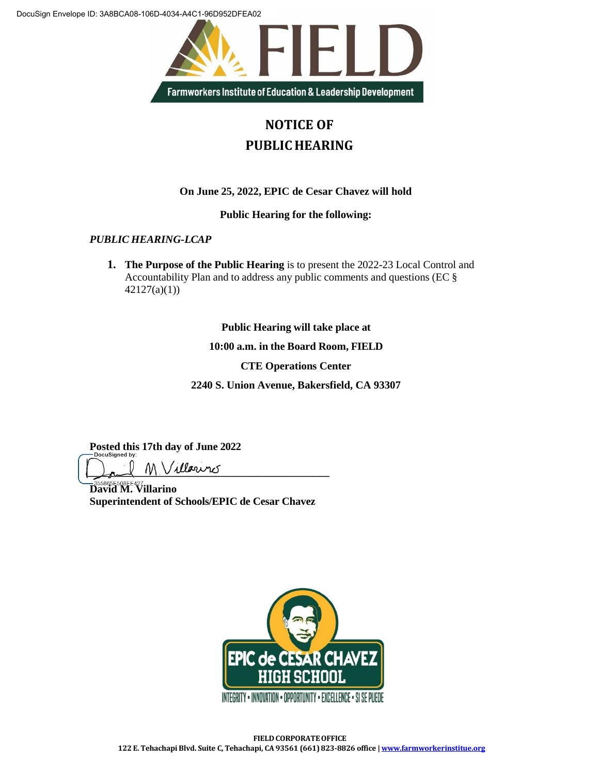DocuSign Envelope ID: 3A8BCA08-106D-4034-A4C1-96D952DFEA02



## **NOTICE OF PUBLIC HEARING**

## **On June 25, 2022, EPIC de Cesar Chavez will hold**

**Public Hearing for the following:**

*PUBLIC HEARING-LCAP*

**1. The Purpose of the Public Hearing** is to present the 2022-23 Local Control and Accountability Plan and to address any public comments and questions (EC § 42127(a)(1))

**Public Hearing will take place at**

**10:00 a.m. in the Board Room, FIELD** 

**CTE Operations Center** 

**2240 S. Union Avenue, Bakersfield, CA 93307**

**Posted this 17th day of June 2022**

**\_\_\_\_\_\_\_\_\_\_\_\_\_\_\_\_\_\_\_\_\_\_\_\_\_\_\_\_\_\_\_\_\_\_\_\_\_\_\_\_\_\_\_\_\_**

**David M. Villarino Superintendent of Schools/EPIC de Cesar Chavez**